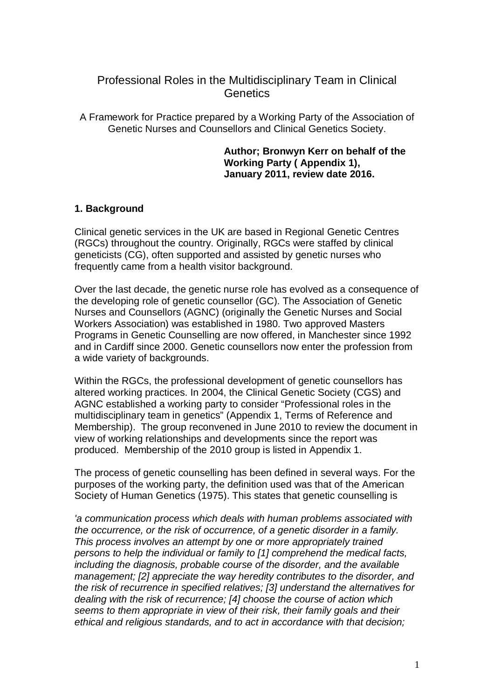# Professional Roles in the Multidisciplinary Team in Clinical **Genetics**

A Framework for Practice prepared by a Working Party of the Association of Genetic Nurses and Counsellors and Clinical Genetics Society.

#### **Author; Bronwyn Kerr on behalf of the Working Party ( Appendix 1), January 2011, review date 2016.**

#### **1. Background**

Clinical genetic services in the UK are based in Regional Genetic Centres (RGCs) throughout the country. Originally, RGCs were staffed by clinical geneticists (CG), often supported and assisted by genetic nurses who frequently came from a health visitor background.

Over the last decade, the genetic nurse role has evolved as a consequence of the developing role of genetic counsellor (GC). The Association of Genetic Nurses and Counsellors (AGNC) (originally the Genetic Nurses and Social Workers Association) was established in 1980. Two approved Masters Programs in Genetic Counselling are now offered, in Manchester since 1992 and in Cardiff since 2000. Genetic counsellors now enter the profession from a wide variety of backgrounds.

Within the RGCs, the professional development of genetic counsellors has altered working practices. In 2004, the Clinical Genetic Society (CGS) and AGNC established a working party to consider "Professional roles in the multidisciplinary team in genetics" (Appendix 1, Terms of Reference and Membership). The group reconvened in June 2010 to review the document in view of working relationships and developments since the report was produced. Membership of the 2010 group is listed in Appendix 1.

The process of genetic counselling has been defined in several ways. For the purposes of the working party, the definition used was that of the American Society of Human Genetics (1975). This states that genetic counselling is

*'a communication process which deals with human problems associated with the occurrence, or the risk of occurrence, of a genetic disorder in a family. This process involves an attempt by one or more appropriately trained persons to help the individual or family to [1] comprehend the medical facts, including the diagnosis, probable course of the disorder, and the available management; [2] appreciate the way heredity contributes to the disorder, and the risk of recurrence in specified relatives; [3] understand the alternatives for dealing with the risk of recurrence; [4] choose the course of action which seems to them appropriate in view of their risk, their family goals and their ethical and religious standards, and to act in accordance with that decision;*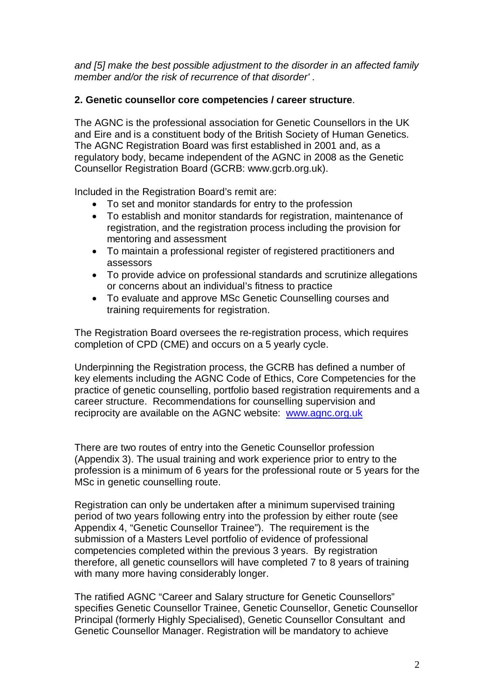*and [5] make the best possible adjustment to the disorder in an affected family member and/or the risk of recurrence of that disorder' .*

#### **2. Genetic counsellor core competencies / career structure**.

The AGNC is the professional association for Genetic Counsellors in the UK and Eire and is a constituent body of the British Society of Human Genetics. The AGNC Registration Board was first established in 2001 and, as a regulatory body, became independent of the AGNC in 2008 as the Genetic Counsellor Registration Board (GCRB: www.gcrb.org.uk).

Included in the Registration Board's remit are:

- To set and monitor standards for entry to the profession
- To establish and monitor standards for registration, maintenance of registration, and the registration process including the provision for mentoring and assessment
- To maintain a professional register of registered practitioners and assessors
- To provide advice on professional standards and scrutinize allegations or concerns about an individual's fitness to practice
- To evaluate and approve MSc Genetic Counselling courses and training requirements for registration.

The Registration Board oversees the re-registration process, which requires completion of CPD (CME) and occurs on a 5 yearly cycle.

Underpinning the Registration process, the GCRB has defined a number of key elements including the AGNC Code of Ethics, Core Competencies for the practice of genetic counselling, portfolio based registration requirements and a career structure. Recommendations for counselling supervision and reciprocity are available on the AGNC website: [www.agnc.org.uk](http://www.agnc.org.uk/)

There are two routes of entry into the Genetic Counsellor profession (Appendix 3). The usual training and work experience prior to entry to the profession is a minimum of 6 years for the professional route or 5 years for the MSc in genetic counselling route.

Registration can only be undertaken after a minimum supervised training period of two years following entry into the profession by either route (see Appendix 4, "Genetic Counsellor Trainee"). The requirement is the submission of a Masters Level portfolio of evidence of professional competencies completed within the previous 3 years. By registration therefore, all genetic counsellors will have completed 7 to 8 years of training with many more having considerably longer.

The ratified AGNC "Career and Salary structure for Genetic Counsellors" specifies Genetic Counsellor Trainee, Genetic Counsellor, Genetic Counsellor Principal (formerly Highly Specialised), Genetic Counsellor Consultant and Genetic Counsellor Manager. Registration will be mandatory to achieve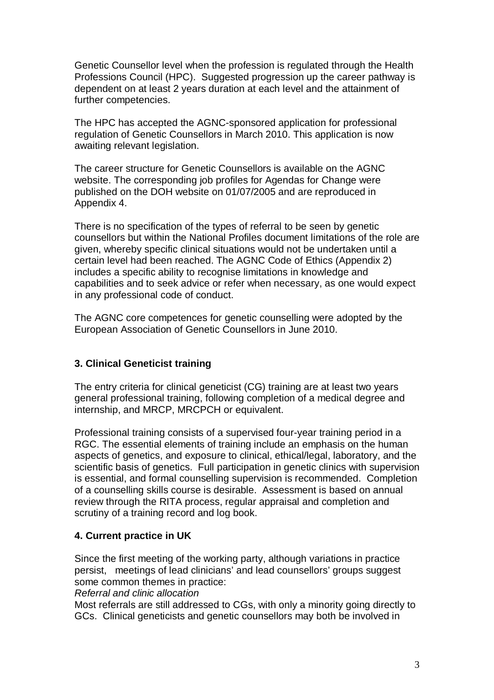Genetic Counsellor level when the profession is regulated through the Health Professions Council (HPC). Suggested progression up the career pathway is dependent on at least 2 years duration at each level and the attainment of further competencies.

The HPC has accepted the AGNC-sponsored application for professional regulation of Genetic Counsellors in March 2010. This application is now awaiting relevant legislation.

The career structure for Genetic Counsellors is available on the AGNC website. The corresponding job profiles for Agendas for Change were published on the DOH website on 01/07/2005 and are reproduced in Appendix 4.

There is no specification of the types of referral to be seen by genetic counsellors but within the National Profiles document limitations of the role are given, whereby specific clinical situations would not be undertaken until a certain level had been reached. The AGNC Code of Ethics (Appendix 2) includes a specific ability to recognise limitations in knowledge and capabilities and to seek advice or refer when necessary, as one would expect in any professional code of conduct.

The AGNC core competences for genetic counselling were adopted by the European Association of Genetic Counsellors in June 2010.

## **3. Clinical Geneticist training**

The entry criteria for clinical geneticist (CG) training are at least two years general professional training, following completion of a medical degree and internship, and MRCP, MRCPCH or equivalent.

Professional training consists of a supervised four-year training period in a RGC. The essential elements of training include an emphasis on the human aspects of genetics, and exposure to clinical, ethical/legal, laboratory, and the scientific basis of genetics. Full participation in genetic clinics with supervision is essential, and formal counselling supervision is recommended. Completion of a counselling skills course is desirable. Assessment is based on annual review through the RITA process, regular appraisal and completion and scrutiny of a training record and log book.

#### **4. Current practice in UK**

Since the first meeting of the working party, although variations in practice persist, meetings of lead clinicians' and lead counsellors' groups suggest some common themes in practice: *Referral and clinic allocation*

Most referrals are still addressed to CGs, with only a minority going directly to GCs. Clinical geneticists and genetic counsellors may both be involved in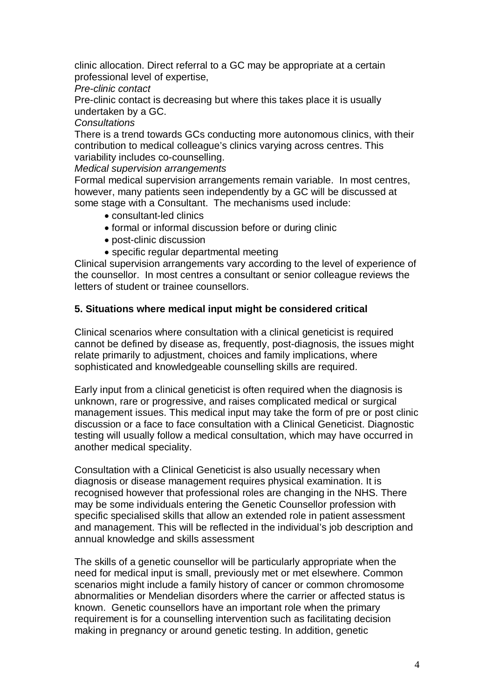clinic allocation. Direct referral to a GC may be appropriate at a certain professional level of expertise,

*Pre-clinic contact*

Pre-clinic contact is decreasing but where this takes place it is usually undertaken by a GC.

#### *Consultations*

There is a trend towards GCs conducting more autonomous clinics, with their contribution to medical colleague's clinics varying across centres. This variability includes co-counselling.

*Medical supervision arrangements*

Formal medical supervision arrangements remain variable. In most centres, however, many patients seen independently by a GC will be discussed at some stage with a Consultant. The mechanisms used include:

- consultant-led clinics
- formal or informal discussion before or during clinic
- post-clinic discussion
- specific regular departmental meeting

Clinical supervision arrangements vary according to the level of experience of the counsellor. In most centres a consultant or senior colleague reviews the letters of student or trainee counsellors.

## **5. Situations where medical input might be considered critical**

Clinical scenarios where consultation with a clinical geneticist is required cannot be defined by disease as, frequently, post-diagnosis, the issues might relate primarily to adjustment, choices and family implications, where sophisticated and knowledgeable counselling skills are required.

Early input from a clinical geneticist is often required when the diagnosis is unknown, rare or progressive, and raises complicated medical or surgical management issues. This medical input may take the form of pre or post clinic discussion or a face to face consultation with a Clinical Geneticist. Diagnostic testing will usually follow a medical consultation, which may have occurred in another medical speciality.

Consultation with a Clinical Geneticist is also usually necessary when diagnosis or disease management requires physical examination. It is recognised however that professional roles are changing in the NHS. There may be some individuals entering the Genetic Counsellor profession with specific specialised skills that allow an extended role in patient assessment and management. This will be reflected in the individual's job description and annual knowledge and skills assessment

The skills of a genetic counsellor will be particularly appropriate when the need for medical input is small, previously met or met elsewhere. Common scenarios might include a family history of cancer or common chromosome abnormalities or Mendelian disorders where the carrier or affected status is known. Genetic counsellors have an important role when the primary requirement is for a counselling intervention such as facilitating decision making in pregnancy or around genetic testing. In addition, genetic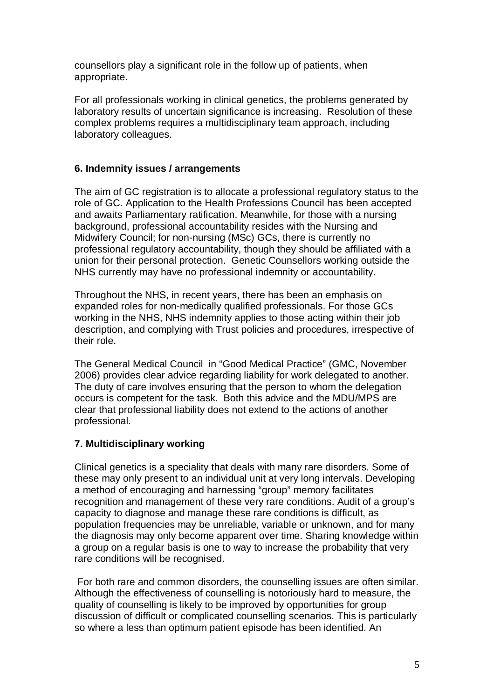counsellors play a significant role in the follow up of patients, when appropriate.

For all professionals working in clinical genetics, the problems generated by laboratory results of uncertain significance is increasing. Resolution of these complex problems requires a multidisciplinary team approach, including laboratory colleagues.

#### **6. Indemnity issues / arrangements**

The aim of GC registration is to allocate a professional regulatory status to the role of GC. Application to the Health Professions Council has been accepted and awaits Parliamentary ratification. Meanwhile, for those with a nursing background, professional accountability resides with the Nursing and Midwifery Council; for non-nursing (MSc) GCs, there is currently no professional regulatory accountability, though they should be affiliated with a union for their personal protection. Genetic Counsellors working outside the NHS currently may have no professional indemnity or accountability.

Throughout the NHS, in recent years, there has been an emphasis on expanded roles for non-medically qualified professionals. For those GCs working in the NHS, NHS indemnity applies to those acting within their job description, and complying with Trust policies and procedures, irrespective of their role.

The General Medical Council in "Good Medical Practice" (GMC, November 2006) provides clear advice regarding liability for work delegated to another. The duty of care involves ensuring that the person to whom the delegation occurs is competent for the task. Both this advice and the MDU/MPS are clear that professional liability does not extend to the actions of another professional.

## **7. Multidisciplinary working**

Clinical genetics is a speciality that deals with many rare disorders. Some of these may only present to an individual unit at very long intervals. Developing a method of encouraging and harnessing "group" memory facilitates recognition and management of these very rare conditions. Audit of a group's capacity to diagnose and manage these rare conditions is difficult, as population frequencies may be unreliable, variable or unknown, and for many the diagnosis may only become apparent over time. Sharing knowledge within a group on a regular basis is one to way to increase the probability that very rare conditions will be recognised.

For both rare and common disorders, the counselling issues are often similar. Although the effectiveness of counselling is notoriously hard to measure, the quality of counselling is likely to be improved by opportunities for group discussion of difficult or complicated counselling scenarios. This is particularly so where a less than optimum patient episode has been identified. An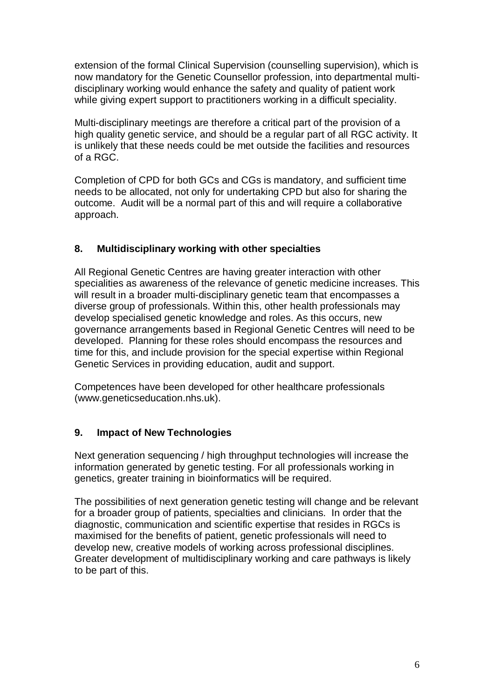extension of the formal Clinical Supervision (counselling supervision), which is now mandatory for the Genetic Counsellor profession, into departmental multidisciplinary working would enhance the safety and quality of patient work while giving expert support to practitioners working in a difficult speciality.

Multi-disciplinary meetings are therefore a critical part of the provision of a high quality genetic service, and should be a regular part of all RGC activity. It is unlikely that these needs could be met outside the facilities and resources of a RGC.

Completion of CPD for both GCs and CGs is mandatory, and sufficient time needs to be allocated, not only for undertaking CPD but also for sharing the outcome. Audit will be a normal part of this and will require a collaborative approach.

#### **8. Multidisciplinary working with other specialties**

All Regional Genetic Centres are having greater interaction with other specialities as awareness of the relevance of genetic medicine increases. This will result in a broader multi-disciplinary genetic team that encompasses a diverse group of professionals. Within this, other health professionals may develop specialised genetic knowledge and roles. As this occurs, new governance arrangements based in Regional Genetic Centres will need to be developed. Planning for these roles should encompass the resources and time for this, and include provision for the special expertise within Regional Genetic Services in providing education, audit and support.

Competences have been developed for other healthcare professionals (www.geneticseducation.nhs.uk).

## **9. Impact of New Technologies**

Next generation sequencing / high throughput technologies will increase the information generated by genetic testing. For all professionals working in genetics, greater training in bioinformatics will be required.

The possibilities of next generation genetic testing will change and be relevant for a broader group of patients, specialties and clinicians. In order that the diagnostic, communication and scientific expertise that resides in RGCs is maximised for the benefits of patient, genetic professionals will need to develop new, creative models of working across professional disciplines. Greater development of multidisciplinary working and care pathways is likely to be part of this.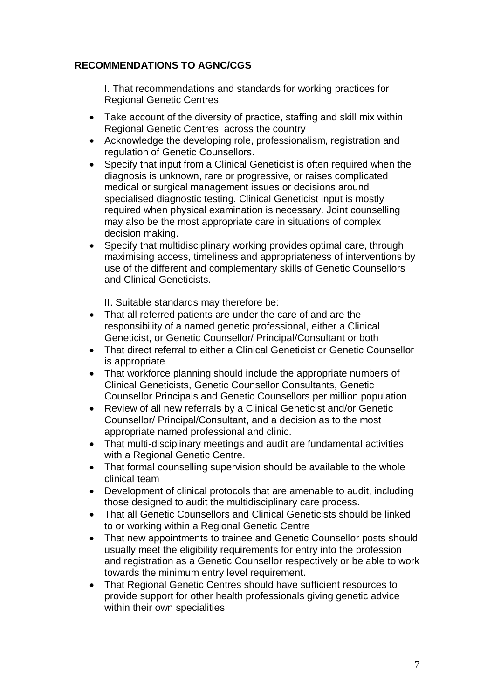## **RECOMMENDATIONS TO AGNC/CGS**

I. That recommendations and standards for working practices for Regional Genetic Centres:

- Take account of the diversity of practice, staffing and skill mix within Regional Genetic Centres across the country
- Acknowledge the developing role, professionalism, registration and regulation of Genetic Counsellors.
- Specify that input from a Clinical Geneticist is often required when the diagnosis is unknown, rare or progressive, or raises complicated medical or surgical management issues or decisions around specialised diagnostic testing. Clinical Geneticist input is mostly required when physical examination is necessary. Joint counselling may also be the most appropriate care in situations of complex decision making.
- Specify that multidisciplinary working provides optimal care, through maximising access, timeliness and appropriateness of interventions by use of the different and complementary skills of Genetic Counsellors and Clinical Geneticists.

II. Suitable standards may therefore be:

- That all referred patients are under the care of and are the responsibility of a named genetic professional, either a Clinical Geneticist, or Genetic Counsellor/ Principal/Consultant or both
- That direct referral to either a Clinical Geneticist or Genetic Counsellor is appropriate
- That workforce planning should include the appropriate numbers of Clinical Geneticists, Genetic Counsellor Consultants, Genetic Counsellor Principals and Genetic Counsellors per million population
- Review of all new referrals by a Clinical Geneticist and/or Genetic Counsellor/ Principal/Consultant, and a decision as to the most appropriate named professional and clinic.
- That multi-disciplinary meetings and audit are fundamental activities with a Regional Genetic Centre.
- That formal counselling supervision should be available to the whole clinical team
- Development of clinical protocols that are amenable to audit, including those designed to audit the multidisciplinary care process.
- That all Genetic Counsellors and Clinical Geneticists should be linked to or working within a Regional Genetic Centre
- That new appointments to trainee and Genetic Counsellor posts should usually meet the eligibility requirements for entry into the profession and registration as a Genetic Counsellor respectively or be able to work towards the minimum entry level requirement.
- That Regional Genetic Centres should have sufficient resources to provide support for other health professionals giving genetic advice within their own specialities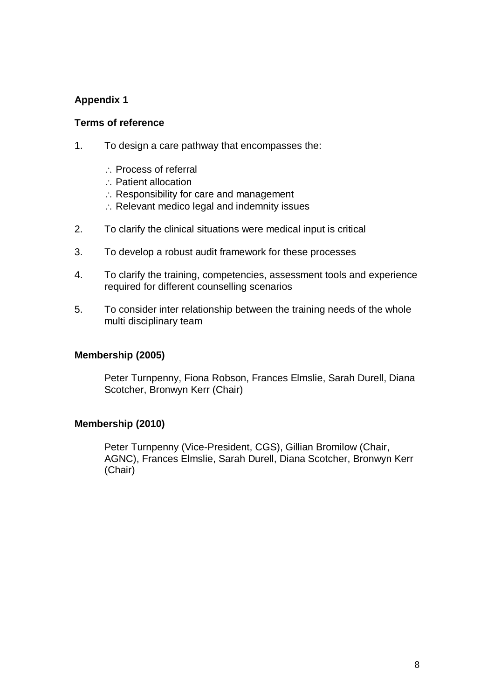#### **Terms of reference**

- 1. To design a care pathway that encompasses the:
	- $\therefore$  Process of referral
	- Patient allocation
	- $\therefore$  Responsibility for care and management
	- $\therefore$  Relevant medico legal and indemnity issues
- 2. To clarify the clinical situations were medical input is critical
- 3. To develop a robust audit framework for these processes
- 4. To clarify the training, competencies, assessment tools and experience required for different counselling scenarios
- 5. To consider inter relationship between the training needs of the whole multi disciplinary team

#### **Membership (2005)**

Peter Turnpenny, Fiona Robson, Frances Elmslie, Sarah Durell, Diana Scotcher, Bronwyn Kerr (Chair)

#### **Membership (2010)**

Peter Turnpenny (Vice-President, CGS), Gillian Bromilow (Chair, AGNC), Frances Elmslie, Sarah Durell, Diana Scotcher, Bronwyn Kerr (Chair)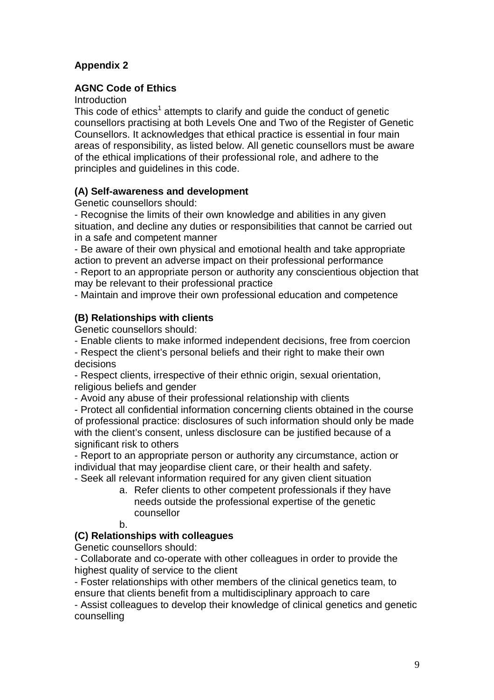#### **AGNC Code of Ethics**

**Introduction** 

This code of ethics<sup>1</sup> attempts to clarify and guide the conduct of genetic counsellors practising at both Levels One and Two of the Register of Genetic Counsellors. It acknowledges that ethical practice is essential in four main areas of responsibility, as listed below. All genetic counsellors must be aware of the ethical implications of their professional role, and adhere to the principles and guidelines in this code.

#### **(A) Self-awareness and development**

Genetic counsellors should:

- Recognise the limits of their own knowledge and abilities in any given situation, and decline any duties or responsibilities that cannot be carried out in a safe and competent manner

- Be aware of their own physical and emotional health and take appropriate action to prevent an adverse impact on their professional performance

- Report to an appropriate person or authority any conscientious objection that may be relevant to their professional practice

- Maintain and improve their own professional education and competence

#### **(B) Relationships with clients**

Genetic counsellors should:

- Enable clients to make informed independent decisions, free from coercion

- Respect the client's personal beliefs and their right to make their own decisions

- Respect clients, irrespective of their ethnic origin, sexual orientation, religious beliefs and gender

- Avoid any abuse of their professional relationship with clients

- Protect all confidential information concerning clients obtained in the course of professional practice: disclosures of such information should only be made with the client's consent, unless disclosure can be justified because of a significant risk to others

- Report to an appropriate person or authority any circumstance, action or individual that may jeopardise client care, or their health and safety. - Seek all relevant information required for any given client situation

> a. Refer clients to other competent professionals if they have needs outside the professional expertise of the genetic counsellor

b.

#### **(C) Relationships with colleagues**

Genetic counsellors should:

- Collaborate and co-operate with other colleagues in order to provide the highest quality of service to the client

- Foster relationships with other members of the clinical genetics team, to ensure that clients benefit from a multidisciplinary approach to care

- Assist colleagues to develop their knowledge of clinical genetics and genetic counselling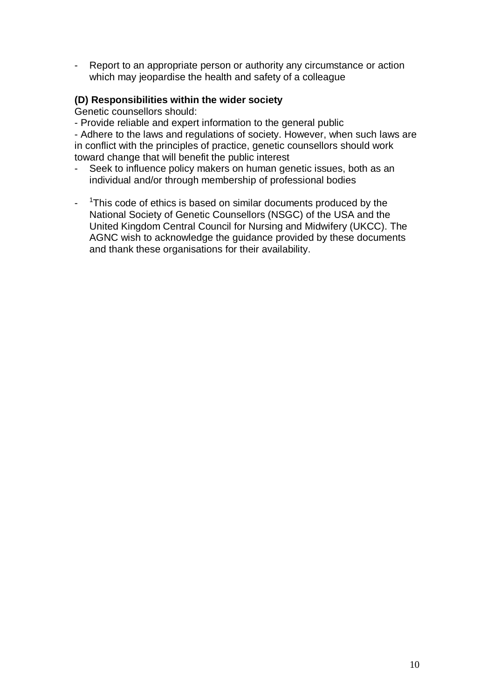Report to an appropriate person or authority any circumstance or action which may jeopardise the health and safety of a colleague

#### **(D) Responsibilities within the wider society**

Genetic counsellors should:

- Provide reliable and expert information to the general public

- Adhere to the laws and regulations of society. However, when such laws are in conflict with the principles of practice, genetic counsellors should work toward change that will benefit the public interest

- Seek to influence policy makers on human genetic issues, both as an individual and/or through membership of professional bodies
- <sup>1</sup>This code of ethics is based on similar documents produced by the National Society of Genetic Counsellors (NSGC) of the USA and the United Kingdom Central Council for Nursing and Midwifery (UKCC). The AGNC wish to acknowledge the guidance provided by these documents and thank these organisations for their availability.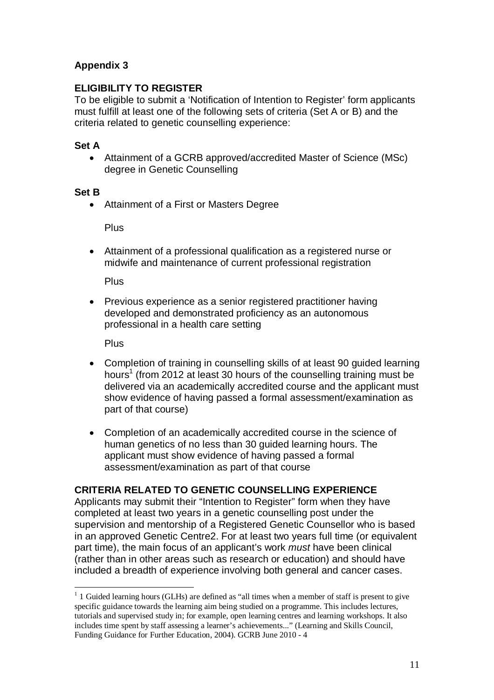## **ELIGIBILITY TO REGISTER**

To be eligible to submit a 'Notification of Intention to Register' form applicants must fulfill at least one of the following sets of criteria (Set A or B) and the criteria related to genetic counselling experience:

## **Set A**

 Attainment of a GCRB approved/accredited Master of Science (MSc) degree in Genetic Counselling

#### **Set B**

Attainment of a First or Masters Degree

**Plus** 

 Attainment of a professional qualification as a registered nurse or midwife and maintenance of current professional registration

Plus

 Previous experience as a senior registered practitioner having developed and demonstrated proficiency as an autonomous professional in a health care setting

**Plus** 

- Completion of training in counselling skills of at least 90 guided learning hours<sup>[1](#page-10-0)</sup> (from 2012 at least 30 hours of the counselling training must be delivered via an academically accredited course and the applicant must show evidence of having passed a formal assessment/examination as part of that course)
- Completion of an academically accredited course in the science of human genetics of no less than 30 guided learning hours. The applicant must show evidence of having passed a formal assessment/examination as part of that course

## **CRITERIA RELATED TO GENETIC COUNSELLING EXPERIENCE**

Applicants may submit their "Intention to Register" form when they have completed at least two years in a genetic counselling post under the supervision and mentorship of a Registered Genetic Counsellor who is based in an approved Genetic Centre2. For at least two years full time (or equivalent part time), the main focus of an applicant's work *must* have been clinical (rather than in other areas such as research or education) and should have included a breadth of experience involving both general and cancer cases.

<span id="page-10-0"></span> $1$  1 Guided learning hours (GLHs) are defined as "all times when a member of staff is present to give specific guidance towards the learning aim being studied on a programme. This includes lectures, tutorials and supervised study in; for example, open learning centres and learning workshops. It also includes time spent by staff assessing a learner's achievements..." (Learning and Skills Council, Funding Guidance for Further Education, 2004). GCRB June 2010 - 4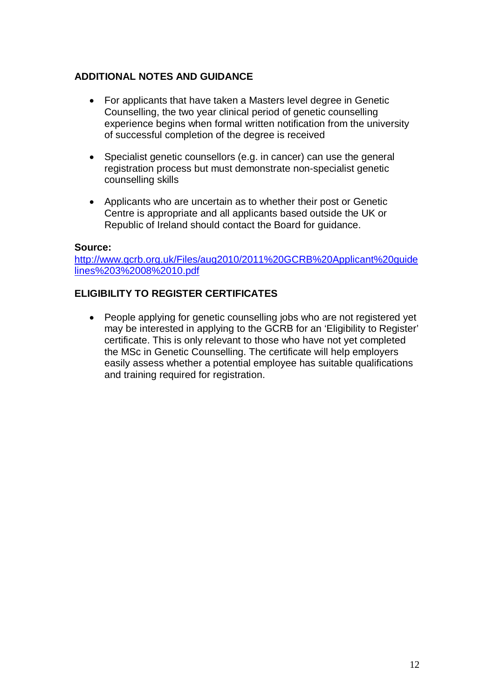## **ADDITIONAL NOTES AND GUIDANCE**

- For applicants that have taken a Masters level degree in Genetic Counselling, the two year clinical period of genetic counselling experience begins when formal written notification from the university of successful completion of the degree is received
- Specialist genetic counsellors (e.g. in cancer) can use the general registration process but must demonstrate non-specialist genetic counselling skills
- Applicants who are uncertain as to whether their post or Genetic Centre is appropriate and all applicants based outside the UK or Republic of Ireland should contact the Board for guidance.

#### **Source:**

[http://www.gcrb.org.uk/Files/aug2010/2011%20GCRB%20Applicant%20guide](http://www.gcrb.org.uk/Files/aug2010/2011 GCRB Applicant guidelines 3 08 10.pdf) [lines%203%2008%2010.pdf](http://www.gcrb.org.uk/Files/aug2010/2011 GCRB Applicant guidelines 3 08 10.pdf)

#### **ELIGIBILITY TO REGISTER CERTIFICATES**

• People applying for genetic counselling jobs who are not registered yet may be interested in applying to the GCRB for an 'Eligibility to Register' certificate. This is only relevant to those who have not yet completed the MSc in Genetic Counselling. The certificate will help employers easily assess whether a potential employee has suitable qualifications and training required for registration.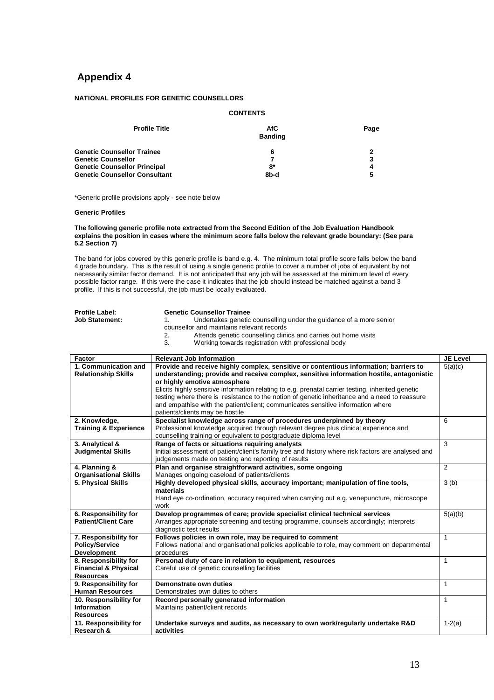#### **NATIONAL PROFILES FOR GENETIC COUNSELLORS**

#### **CONTENTS Profile Title AfC Banding Page Genetic Counsellor Trainee 6 2**<br> **Genetic Counsellor**<br> **Genetic Counsellor Genetic Counsellor 1996**<br> **Genetic Counsellor 1996**<br> **Genetic Counsellor Principal 1996**<br> **Genetic Counsellor Principal 1996 Genetic Counsellor Principal Genetic Counsellor Consultant 6 and 5 and 8b-d 6 and 5 and 8b-d 6 and 7 and 7 and 7 and 7 and 7 and 7 and 7 and 7 and 7 and 7 and 7 and 7 and 7 and 7 and 7 and 7 and 7 and 7 and 7 and 7 and 7 and 7 and 7 and 7 and 7 and 7**

\*Generic profile provisions apply - see note below

#### **Generic Profiles**

#### **The following generic profile note extracted from the Second Edition of the Job Evaluation Handbook explains the position in cases where the minimum score falls below the relevant grade boundary: (See para 5.2 Section 7)**

The band for jobs covered by this generic profile is band e.g. 4. The minimum total profile score falls below the band 4 grade boundary. This is the result of using a single generic profile to cover a number of jobs of equivalent by not necessarily similar factor demand. It is not anticipated that any job will be assessed at the minimum level of every possible factor range. If this were the case it indicates that the job should instead be matched against a band 3 profile. If this is not successful, the job must be locally evaluated.

| <b>Profile Label:</b> |                                           | <b>Genetic Counsellor Trainee</b>                                  |  |
|-----------------------|-------------------------------------------|--------------------------------------------------------------------|--|
| <b>Job Statement:</b> |                                           | Undertakes genetic counselling under the guidance of a more senior |  |
|                       | counsellor and maintains relevant records |                                                                    |  |
|                       | 2.                                        | Attends genetic counselling clinics and carries out home visits    |  |
|                       | 3.                                        | Working towards registration with professional body                |  |

| Factor                                        | <b>Relevant Job Information</b>                                                                                   | <b>JE Level</b> |
|-----------------------------------------------|-------------------------------------------------------------------------------------------------------------------|-----------------|
| 1. Communication and                          | Provide and receive highly complex, sensitive or contentious information; barriers to                             | 5(a)(c)         |
| <b>Relationship Skills</b>                    | understanding; provide and receive complex, sensitive information hostile, antagonistic                           |                 |
|                                               | or highly emotive atmosphere                                                                                      |                 |
|                                               | Elicits highly sensitive information relating to e.g. prenatal carrier testing, inherited genetic                 |                 |
|                                               | testing where there is resistance to the notion of genetic inheritance and a need to reassure                     |                 |
|                                               | and empathise with the patient/client; communicates sensitive information where                                   |                 |
|                                               | patients/clients may be hostile                                                                                   |                 |
| 2. Knowledge,                                 | Specialist knowledge across range of procedures underpinned by theory                                             | 6               |
| <b>Training &amp; Experience</b>              | Professional knowledge acquired through relevant degree plus clinical experience and                              |                 |
|                                               | counselling training or equivalent to postgraduate diploma level                                                  |                 |
| 3. Analytical &                               | Range of facts or situations requiring analysts                                                                   | 3               |
| <b>Judgmental Skills</b>                      | Initial assessment of patient/client's family tree and history where risk factors are analysed and                |                 |
|                                               | judgements made on testing and reporting of results<br>Plan and organise straightforward activities, some ongoing | 2               |
| 4. Planning &<br><b>Organisational Skills</b> | Manages ongoing caseload of patients/clients                                                                      |                 |
| 5. Physical Skills                            | Highly developed physical skills, accuracy important; manipulation of fine tools,                                 | 3(b)            |
|                                               | materials                                                                                                         |                 |
|                                               | Hand eye co-ordination, accuracy required when carrying out e.g. venepuncture, microscope                         |                 |
|                                               | work                                                                                                              |                 |
| 6. Responsibility for                         | Develop programmes of care; provide specialist clinical technical services                                        | 5(a)(b)         |
| <b>Patient/Client Care</b>                    | Arranges appropriate screening and testing programme, counsels accordingly; interprets                            |                 |
|                                               | diagnostic test results                                                                                           |                 |
| 7. Responsibility for                         | Follows policies in own role, may be required to comment                                                          | $\mathbf{1}$    |
| <b>Policy/Service</b>                         | Follows national and organisational policies applicable to role, may comment on departmental                      |                 |
| <b>Development</b>                            | procedures                                                                                                        |                 |
| 8. Responsibility for                         | Personal duty of care in relation to equipment, resources                                                         | $\mathbf{1}$    |
| <b>Financial &amp; Physical</b>               | Careful use of genetic counselling facilities                                                                     |                 |
| <b>Resources</b>                              |                                                                                                                   |                 |
| 9. Responsibility for                         | Demonstrate own duties                                                                                            | 1               |
| <b>Human Resources</b>                        | Demonstrates own duties to others                                                                                 |                 |
| 10. Responsibility for                        | Record personally generated information                                                                           | $\mathbf{1}$    |
| <b>Information</b>                            | Maintains patient/client records                                                                                  |                 |
| <b>Resources</b>                              |                                                                                                                   |                 |
| 11. Responsibility for                        | Undertake surveys and audits, as necessary to own work/regularly undertake R&D                                    | $1-2(a)$        |
| Research &                                    | activities                                                                                                        |                 |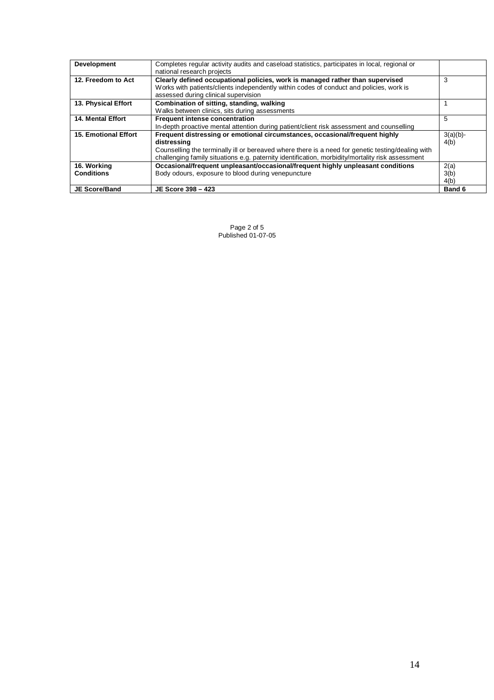| Development                      | Completes regular activity audits and caseload statistics, participates in local, regional or<br>national research projects                                                                                                                                                                         |                      |
|----------------------------------|-----------------------------------------------------------------------------------------------------------------------------------------------------------------------------------------------------------------------------------------------------------------------------------------------------|----------------------|
| 12. Freedom to Act               | Clearly defined occupational policies, work is managed rather than supervised<br>Works with patients/clients independently within codes of conduct and policies, work is<br>assessed during clinical supervision                                                                                    | 3                    |
| 13. Physical Effort              | Combination of sitting, standing, walking<br>Walks between clinics, sits during assessments                                                                                                                                                                                                         |                      |
| <b>14. Mental Effort</b>         | Frequent intense concentration<br>In-depth proactive mental attention during patient/client risk assessment and counselling                                                                                                                                                                         | 5                    |
| <b>15. Emotional Effort</b>      | Frequent distressing or emotional circumstances, occasional/frequent highly<br>distressing<br>Counselling the terminally ill or bereaved where there is a need for genetic testing/dealing with<br>challenging family situations e.g. paternity identification, morbidity/mortality risk assessment | $3(a)(b)$ -<br>4(b)  |
| 16. Working<br><b>Conditions</b> | Occasional/frequent unpleasant/occasional/frequent highly unpleasant conditions<br>Body odours, exposure to blood during venepuncture                                                                                                                                                               | 2(a)<br>3(b)<br>4(b) |
| <b>JE Score/Band</b>             | JE Score 398 - 423                                                                                                                                                                                                                                                                                  | Band 6               |

Page 2 of 5 Published 01-07-05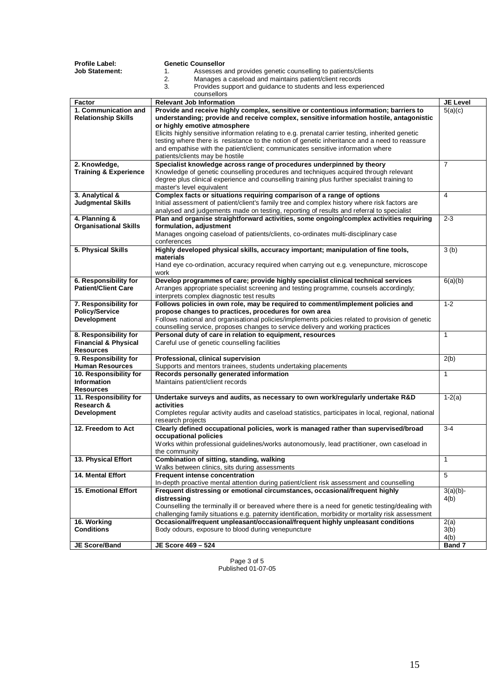| Profile Label:                                           | <b>Genetic Counsellor</b>                                                                                                                                                              |                 |
|----------------------------------------------------------|----------------------------------------------------------------------------------------------------------------------------------------------------------------------------------------|-----------------|
| <b>Job Statement:</b>                                    | 1.<br>Assesses and provides genetic counselling to patients/clients                                                                                                                    |                 |
|                                                          | 2.<br>Manages a caseload and maintains patient/client records                                                                                                                          |                 |
|                                                          | 3.<br>Provides support and guidance to students and less experienced                                                                                                                   |                 |
| Factor                                                   | counsellors<br><b>Relevant Job Information</b>                                                                                                                                         | <b>JE Level</b> |
| 1. Communication and                                     | Provide and receive highly complex, sensitive or contentious information; barriers to                                                                                                  | 5(a)(c)         |
| <b>Relationship Skills</b>                               | understanding; provide and receive complex, sensitive information hostile, antagonistic                                                                                                |                 |
|                                                          | or highly emotive atmosphere                                                                                                                                                           |                 |
|                                                          | Elicits highly sensitive information relating to e.g. prenatal carrier testing, inherited genetic                                                                                      |                 |
|                                                          | testing where there is resistance to the notion of genetic inheritance and a need to reassure                                                                                          |                 |
|                                                          | and empathise with the patient/client; communicates sensitive information where                                                                                                        |                 |
| 2. Knowledge,                                            | patients/clients may be hostile<br>Specialist knowledge across range of procedures underpinned by theory                                                                               | $\overline{7}$  |
| <b>Training &amp; Experience</b>                         | Knowledge of genetic counselling procedures and techniques acquired through relevant                                                                                                   |                 |
|                                                          | degree plus clinical experience and counselling training plus further specialist training to                                                                                           |                 |
|                                                          | master's level equivalent                                                                                                                                                              |                 |
| 3. Analytical &                                          | Complex facts or situations requiring comparison of a range of options                                                                                                                 | $\overline{4}$  |
| <b>Judgmental Skills</b>                                 | Initial assessment of patient/client's family tree and complex history where risk factors are                                                                                          |                 |
|                                                          | analysed and judgements made on testing, reporting of results and referral to specialist                                                                                               | $2 - 3$         |
| 4. Planning &<br><b>Organisational Skills</b>            | Plan and organise straightforward activities, some ongoing/complex activities requiring<br>formulation, adjustment                                                                     |                 |
|                                                          | Manages ongoing caseload of patients/clients, co-ordinates multi-disciplinary case                                                                                                     |                 |
|                                                          | conferences                                                                                                                                                                            |                 |
| 5. Physical Skills                                       | Highly developed physical skills, accuracy important; manipulation of fine tools,                                                                                                      | 3(b)            |
|                                                          | materials                                                                                                                                                                              |                 |
|                                                          | Hand eye co-ordination, accuracy required when carrying out e.g. venepuncture, microscope                                                                                              |                 |
|                                                          | work                                                                                                                                                                                   |                 |
| 6. Responsibility for<br><b>Patient/Client Care</b>      | Develop programmes of care; provide highly specialist clinical technical services<br>Arranges appropriate specialist screening and testing programme, counsels accordingly;            | 6(a)(b)         |
|                                                          | interprets complex diagnostic test results                                                                                                                                             |                 |
| 7. Responsibility for                                    | Follows policies in own role, may be required to comment/implement policies and                                                                                                        | $1 - 2$         |
| <b>Policy/Service</b>                                    | propose changes to practices, procedures for own area                                                                                                                                  |                 |
| <b>Development</b>                                       | Follows national and organisational policies/implements policies related to provision of genetic                                                                                       |                 |
|                                                          | counselling service, proposes changes to service delivery and working practices                                                                                                        |                 |
| 8. Responsibility for<br><b>Financial &amp; Physical</b> | Personal duty of care in relation to equipment, resources<br>Careful use of genetic counselling facilities                                                                             | $\mathbf{1}$    |
| <b>Resources</b>                                         |                                                                                                                                                                                        |                 |
| 9. Responsibility for                                    | Professional, clinical supervision                                                                                                                                                     | 2(b)            |
| <b>Human Resources</b>                                   | Supports and mentors trainees, students undertaking placements                                                                                                                         |                 |
| 10. Responsibility for                                   | Records personally generated information                                                                                                                                               | $\mathbf{1}$    |
| <b>Information</b>                                       | Maintains patient/client records                                                                                                                                                       |                 |
| <b>Resources</b>                                         |                                                                                                                                                                                        |                 |
| 11. Responsibility for<br>Research &                     | Undertake surveys and audits, as necessary to own work/regularly undertake R&D<br>activities                                                                                           | $1-2(a)$        |
| <b>Development</b>                                       | Completes regular activity audits and caseload statistics, participates in local, regional, national                                                                                   |                 |
|                                                          | research projects                                                                                                                                                                      |                 |
| 12. Freedom to Act                                       | Clearly defined occupational policies, work is managed rather than supervised/broad                                                                                                    | $3 - 4$         |
|                                                          | occupational policies                                                                                                                                                                  |                 |
|                                                          | Works within professional quidelines/works autonomously, lead practitioner, own caseload in                                                                                            |                 |
| 13. Physical Effort                                      | the community<br>Combination of sitting, standing, walking                                                                                                                             | $\mathbf{1}$    |
|                                                          | Walks between clinics, sits during assessments                                                                                                                                         |                 |
| <b>14. Mental Effort</b>                                 | <b>Frequent intense concentration</b>                                                                                                                                                  | 5               |
|                                                          | In-depth proactive mental attention during patient/client risk assessment and counselling                                                                                              |                 |
| <b>15. Emotional Effort</b>                              | Frequent distressing or emotional circumstances, occasional/frequent highly                                                                                                            | $3(a)(b)$ -     |
|                                                          | distressina                                                                                                                                                                            | 4(b)            |
|                                                          | Counselling the terminally ill or bereaved where there is a need for genetic testing/dealing with                                                                                      |                 |
| 16. Working                                              | challenging family situations e.g. paternity identification, morbidity or mortality risk assessment<br>Occasional/frequent unpleasant/occasional/frequent highly unpleasant conditions | 2(a)            |
| <b>Conditions</b>                                        | Body odours, exposure to blood during venepuncture                                                                                                                                     | 3(b)            |
|                                                          |                                                                                                                                                                                        | 4(b)            |
| JE Score/Band                                            | JE Score 469 - 524                                                                                                                                                                     | Band 7          |

Page 3 of 5 Published 01-07-05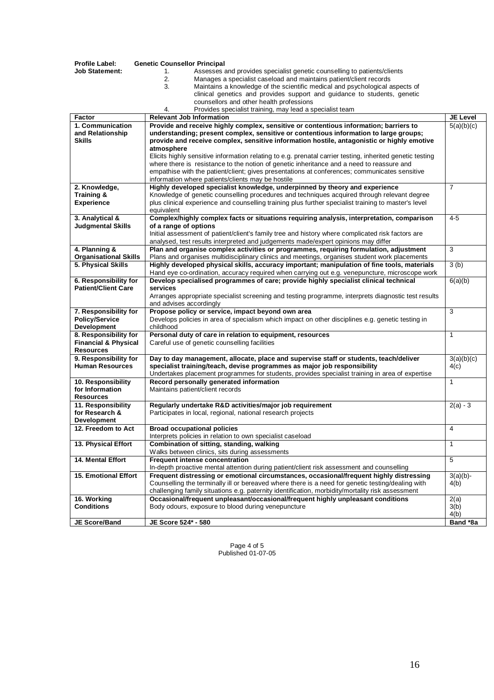| <b>Profile Label:</b>                           | <b>Genetic Counsellor Principal</b>                                                                                                                                                        |                 |
|-------------------------------------------------|--------------------------------------------------------------------------------------------------------------------------------------------------------------------------------------------|-----------------|
| Job Statement:                                  | Assesses and provides specialist genetic counselling to patients/clients<br>1.                                                                                                             |                 |
|                                                 | 2.<br>Manages a specialist caseload and maintains patient/client records                                                                                                                   |                 |
|                                                 | Maintains a knowledge of the scientific medical and psychological aspects of<br>3.                                                                                                         |                 |
|                                                 | clinical genetics and provides support and guidance to students, genetic                                                                                                                   |                 |
|                                                 | counsellors and other health professions                                                                                                                                                   |                 |
|                                                 | Provides specialist training, may lead a specialist team<br>4.                                                                                                                             |                 |
| Factor                                          | <b>Relevant Job Information</b>                                                                                                                                                            | <b>JE Level</b> |
| 1. Communication                                | Provide and receive highly complex, sensitive or contentious information; barriers to                                                                                                      | 5(a)(b)(c)      |
| and Relationship                                | understanding; present complex, sensitive or contentious information to large groups;                                                                                                      |                 |
| <b>Skills</b>                                   | provide and receive complex, sensitive information hostile, antagonistic or highly emotive                                                                                                 |                 |
|                                                 | atmosphere                                                                                                                                                                                 |                 |
|                                                 | Elicits highly sensitive information relating to e.g. prenatal carrier testing, inherited genetic testing                                                                                  |                 |
|                                                 | where there is resistance to the notion of genetic inheritance and a need to reassure and<br>empathise with the patient/client; gives presentations at conferences; communicates sensitive |                 |
|                                                 | information where patients/clients may be hostile                                                                                                                                          |                 |
| 2. Knowledge,                                   | Highly developed specialist knowledge, underpinned by theory and experience                                                                                                                | $\overline{7}$  |
| Training &                                      | Knowledge of genetic counselling procedures and techniques acquired through relevant degree                                                                                                |                 |
| <b>Experience</b>                               | plus clinical experience and counselling training plus further specialist training to master's level                                                                                       |                 |
|                                                 | equivalent                                                                                                                                                                                 |                 |
| 3. Analytical &                                 | Complex/highly complex facts or situations requiring analysis, interpretation, comparison                                                                                                  | $4 - 5$         |
| <b>Judgmental Skills</b>                        | of a range of options                                                                                                                                                                      |                 |
|                                                 | Initial assessment of patient/client's family tree and history where complicated risk factors are                                                                                          |                 |
|                                                 | analysed, test results interpreted and judgements made/expert opinions may differ                                                                                                          |                 |
| 4. Planning &                                   | Plan and organise complex activities or programmes, requiring formulation, adjustment                                                                                                      | 3               |
| <b>Organisational Skills</b>                    | Plans and organises multidisciplinary clinics and meetings, organises student work placements                                                                                              |                 |
| 5. Physical Skills                              | Highly developed physical skills, accuracy important; manipulation of fine tools, materials                                                                                                | 3(b)            |
|                                                 | Hand eye co-ordination, accuracy required when carrying out e.g. venepuncture, microscope work                                                                                             |                 |
| 6. Responsibility for                           | Develop specialised programmes of care; provide highly specialist clinical technical                                                                                                       | 6(a)(b)         |
| <b>Patient/Client Care</b>                      | services                                                                                                                                                                                   |                 |
|                                                 | Arranges appropriate specialist screening and testing programme, interprets diagnostic test results                                                                                        |                 |
|                                                 | and advises accordingly                                                                                                                                                                    |                 |
| 7. Responsibility for                           | Propose policy or service, impact beyond own area                                                                                                                                          | 3               |
| <b>Policy/Service</b>                           | Develops policies in area of specialism which impact on other disciplines e.g. genetic testing in                                                                                          |                 |
| <b>Development</b>                              | childhood                                                                                                                                                                                  |                 |
| 8. Responsibility for                           | Personal duty of care in relation to equipment, resources                                                                                                                                  | $\mathbf{1}$    |
| <b>Financial &amp; Physical</b>                 | Careful use of genetic counselling facilities                                                                                                                                              |                 |
| <b>Resources</b>                                |                                                                                                                                                                                            |                 |
| 9. Responsibility for<br><b>Human Resources</b> | Day to day management, allocate, place and supervise staff or students, teach/deliver                                                                                                      | 3(a)(b)(c)      |
|                                                 | specialist training/teach, devise programmes as major job responsibility<br>Undertakes placement programmes for students, provides specialist training in area of expertise                | 4(c)            |
| 10. Responsibility                              | Record personally generated information                                                                                                                                                    | $\mathbf{1}$    |
| for Information                                 | Maintains patient/client records                                                                                                                                                           |                 |
| <b>Resources</b>                                |                                                                                                                                                                                            |                 |
| 11. Responsibility                              | Regularly undertake R&D activities/major job requirement                                                                                                                                   | $2(a) - 3$      |
| for Research &                                  | Participates in local, regional, national research projects                                                                                                                                |                 |
| <b>Development</b>                              |                                                                                                                                                                                            |                 |
| 12. Freedom to Act                              | <b>Broad occupational policies</b>                                                                                                                                                         | 4               |
|                                                 | Interprets policies in relation to own specialist caseload                                                                                                                                 |                 |
| 13. Physical Effort                             | Combination of sitting, standing, walking                                                                                                                                                  | $\mathbf{1}$    |
|                                                 | Walks between clinics, sits during assessments                                                                                                                                             |                 |
| 14. Mental Effort                               | Frequent intense concentration                                                                                                                                                             | $\overline{5}$  |
|                                                 | In-depth proactive mental attention during patient/client risk assessment and counselling                                                                                                  |                 |
| <b>15. Emotional Effort</b>                     | Frequent distressing or emotional circumstances, occasional/frequent highly distressing                                                                                                    | $3(a)(b)$ -     |
|                                                 | Counselling the terminally ill or bereaved where there is a need for genetic testing/dealing with                                                                                          | 4(b)            |
|                                                 | challenging family situations e.g. paternity identification, morbidity/mortality risk assessment                                                                                           |                 |
| 16. Working                                     | Occasional/frequent unpleasant/occasional/frequent highly unpleasant conditions                                                                                                            | 2(a)            |
| <b>Conditions</b>                               | Body odours, exposure to blood during venepuncture                                                                                                                                         | 3(b)            |
|                                                 |                                                                                                                                                                                            | 4(b)            |
| JE Score/Band                                   | JE Score 524* - 580                                                                                                                                                                        | Band *8a        |

Page 4 of 5 Published 01-07-05